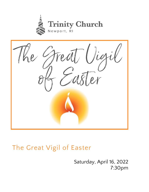



# The Great Vigil of Easter

Saturday, April 16, 2022 7:30pm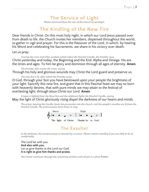## The Service of Light

*Please stand and face the rear of the church as we begin.*

## The Kindling of the New Fire

Dear friends in Christ: On this most holy night, in which our Lord Jesus passed over from death to life, the Church invites her members, dispersed throughout the world, to gather in vigil and prayer. For this is the Passover of the Lord, in which, by hearing his Word and celebrating his Sacraments, we share in his victory over death.

Let us pray.

*Tracing the cross and other symbols which adorn the Paschal Candle, the Presider says,* Christ yesterday and today, the Beginning and the End. Alpha and Omega. His are the times and ages. To him be glory and dominion through all ages of eternity. **Amen**.

*The Presider then marks the cross, saying* Through his holy and glorious wounds may Christ the Lord guard and preserve us.

*The new fire is lit, after which the Presider prays*

O God, through your Son you have bestowed upon your people the brightness of your light: Sanctify this new fire, and grant that in this Paschal feast we may so burn with heavenly desires, that with pure minds we may attain to the festival of everlasting light; through Jesus Christ our Lord. **Amen**.

*A taper is lighted from the New Fire and the celebrant lights the Paschal Candle, saying* May the light of Christ gloriously rising dispel the darkness of our hearts and minds.

*The priest, bearing the Candle, leads the procession into the church, and the people's candles are lit from the Paschal Candle. The priest pauses three times to sing:*



### The Exsultet

*In the darkness, the ancient prayer is chanted by a cantor. Please remain standing if you are able to do so comfortably*

The Lord be with you. **And also with you.** Let us give thanks to the Lord our God. **It is right to give him thanks and praise.**

*The Cantor continues through the remaining sections until all join in a final* **Amen***.*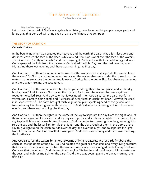### The Service of Lessons

*The People are seated.*

*The Presider begins, saying*

Let us hear the record of God's saving deeds in history, how he saved his people in ages past; and let us pray that our God will bring each of us to the fullness of redemption.

#### **THE STORY OF CREATION**

#### **Genesis 1:1-2:4a**

In the beginning when God created the heavens and the earth, the earth was a formless void and darkness covered the face of the deep, while a wind from God swept over the face of the waters. Then God said, "Let there be light"; and there was light. And God saw that the light was good; and God separated the light from the darkness. God called the light Day, and the darkness he called Night. And there was evening and there was morning, the first day.

And God said, "Let there be a dome in the midst of the waters, and let it separate the waters from the waters." So God made the dome and separated the waters that were under the dome from the waters that were above the dome. And it was so. God called the dome Sky. And there was evening and there was morning, the second day.

And God said, "Let the waters under the sky be gathered together into one place, and let the dry land appear." And it was so. God called the dry land Earth, and the waters that were gathered together he called Seas. And God saw that it was good. Then God said, "Let the earth put forth vegetation: plants yielding seed, and fruit trees of every kind on earth that bear fruit with the seed in it." And it was so. The earth brought forth vegetation: plants yielding seed of every kind, and trees of every kind bearing fruit with the seed in it. And God saw that it was good. And there was evening and there was morning, the third day.

And God said, "Let there be lights in the dome of the sky to separate the day from the night; and let them be for signs and for seasons and for days and years, and let them be lights in the dome of the sky to give light upon the earth." And it was so. God made the two great lights--the greater light to rule the day and the lesser light to rule the night--and the stars. God set them in the dome of the sky to give light upon the earth, to rule over the day and over the night, and to separate the light from the darkness. And God saw that it was good. And there was evening and there was morning, the fourth day.

And God said, "Let the waters bring forth swarms of living creatures, and let birds fly above the earth across the dome of the sky." So God created the great sea monsters and every living creature that moves, of every kind, with which the waters swarm, and every winged bird of every kind. And God saw that it was good. God blessed them, saying, "Be fruitful and multiply and fill the waters in the seas, and let birds multiply on the earth." And there was evening and there was morning, the fifth day.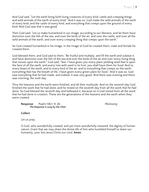And God said, "Let the earth bring forth living creatures of every kind: cattle and creeping things and wild animals of the earth of every kind." And it was so. God made the wild animals of the earth of every kind, and the cattle of every kind, and everything that creeps upon the ground of every kind. And God saw that it was good.

Then God said, "Let us make humankind in our image, according to our likeness; and let them have dominion over the fish of the sea, and over the birds of the air, and over the cattle, and over all the wild animals of the earth, and over every creeping thing that creeps upon the earth."

So God created humankind in his image, in the image of God he created them; male and female he created them.

God blessed them, and God said to them, "Be fruitful and multiply, and fill the earth and subdue it; and have dominion over the fish of the sea and over the birds of the air and over every living thing that moves upon the earth." God said, "See, I have given you every plant yielding seed that is upon the face of all the earth, and every tree with seed in its fruit; you shall have them for food. And to every beast of the earth, and to every bird of the air, and to everything that creeps on the earth, everything that has the breath of life, I have given every green plant for food." And it was so. God saw everything that he had made, and indeed, it was very good. And there was evening and there was morning, the sixth day.

Thus the heavens and the earth were finished, and all their multitude. And on the seventh day God finished the work that he had done, and he rested on the seventh day from all the work that he had done. So God blessed the seventh day and hallowed it, because on it God rested from all the work that he had done in creation. These are the generations of the heavens and the earth when they were created.

**Response** Psalm 136:1-9, 26 *Plainsong The Response is sung by the Choir.*

#### **Collect**

Let us pray.

O God, who wonderfully created, and yet more wonderfully restored, the dignity of human nature: Grant that we may share the divine life of him who humbled himself to share our humanity, your Son Jesus Christ our Lord. **Amen**.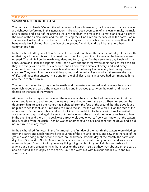#### **THE FLOOD**

#### **Genesis 7:1-5, 11-18; 8:6-18; 9:8-13**

The Lord said to Noah, "Go into the ark, you and all your household, for I have seen that you alone are righteous before me in this generation. Take with you seven pairs of all clean animals, the male and its mate; and a pair of the animals that are not clean, the male and its mate; and seven pairs of the birds of the air also, male and female, to keep their kind alive on the face of all the earth. For in seven days I will send rain on the earth for forty days and forty nights; and every living thing that I have made I will blot out from the face of the ground." And Noah did all that the Lord had commanded him.

In the six hundredth year of Noah's life, in the second month, on the seventeenth day of the month, on that day all the fountains of the great deep burst forth, and the windows of the heavens were opened. The rain fell on the earth forty days and forty nights. On the very same day Noah with his sons, Shem and Ham and Japheth, and Noah's wife and the three wives of his sons entered the ark, they and every wild animal of every kind, and all domestic animals of every kind, and every creeping thing that creeps on the earth, and every bird of every kind-- every bird, every winged creature. They went into the ark with Noah, two and two of all flesh in which there was the breath of life. And those that entered, male and female of all flesh, went in as God had commanded him; and the Lord shut him in.

The flood continued forty days on the earth; and the waters increased, and bore up the ark, and it rose high above the earth. The waters swelled and increased greatly on the earth; and the ark floated on the face of the waters.

At the end of forty days Noah opened the window of the ark that he had made and sent out the raven; and it went to and fro until the waters were dried up from the earth. Then he sent out the dove from him, to see if the waters had subsided from the face of the ground; but the dove found no place to set its foot, and it returned to him to the ark, for the waters were still on the face of the whole earth. So he put out his hand and took it and brought it into the ark with him. He waited another seven days, and again he sent out the dove from the ark; and the dove came back to him in the evening, and there in its beak was a freshly plucked olive leaf; so Noah knew that the waters had subsided from the earth. Then he waited another seven days, and sent out the dove; and it did not return to him any more.

In the six hundred first year, in the first month, the first day of the month, the waters were dried up from the earth; and Noah removed the covering of the ark, and looked, and saw that the face of the ground was drying. In the second month, on the twenty-seventh day of the month, the earth was dry. Then God said to Noah, "Go out of the ark, you and your wife, and your sons and your sons' wives with you. Bring out with you every living thing that is with you of all flesh-- birds and animals and every creeping thing that creeps on the earth-- so that they may abound on the earth, and be fruitful and multiply on the earth." So Noah went out with his sons and his wife and his sons' wives.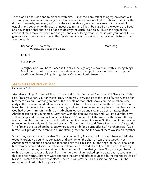Then God said to Noah and to his sons with him, "As for me, I am establishing my covenant with you and your descendants after you, and with every living creature that is with you, the birds, the domestic animals, and every animal of the earth with you, as many as came out of the ark. I establish my covenant with you, that never again shall all flesh be cut off by the waters of a flood, and never again shall there be a flood to destroy the earth." God said, "This is the sign of the covenant that I make between me and you and every living creature that is with you, for all future generations: I have set my bow in the clouds, and it shall be a sign of the covenant between me and the earth."

**Response** Psalm 46 *Plainsong The Response is sung by the Choir.*

#### **Collect**

Let us pray.

Almighty God, you have placed in the skies the sign of your covenant with all living things: Grant that we, who are saved through water and the Spirit, may worthily offer to you our sacrifice of thanksgiving; through Jesus Christ our Lord. **Amen**.

#### **ABRAHAM'S SACRIFICE OF ISAAC**

#### **Genesis 22:1-18**

After these things God tested Abraham. He said to him, "Abraham!" And he said, "Here I am." He said, "Take your son, your only son Isaac, whom you love, and go to the land of Moriah, and offer him there as a burnt offering on one of the mountains that I shall show you." So Abraham rose early in the morning, saddled his donkey, and took two of his young men with him, and his son Isaac; he cut the wood for the burnt offering, and set out and went to the place in the distance that God had shown him. On the third day Abraham looked up and saw the place far away. Then Abraham said to his young men, "Stay here with the donkey; the boy and I will go over there; we will worship, and then we will come back to you." Abraham took the wood of the burnt offering and laid it on his son Isaac, and he himself carried the fire and the knife. So the two of them walked on together. Isaac said to his father Abraham, "Father!" And he said, "Here I am, my son." He said, "The fire and the wood are here, but where is the lamb for a burnt offering?" Abraham said, "God himself will provide the lamb for a burnt offering, my son." So the two of them walked on together.

When they came to the place that God had shown him, Abraham built an altar there and laid the wood in order. He bound his son Isaac, and laid him on the altar, on top of the wood. Then Abraham reached out his hand and took the knife to kill his son. But the angel of the Lord called to him from heaven, and said, "Abraham, Abraham!" And he said, "Here I am." He said, "Do not lay your hand on the boy or do anything to him; for now I know that you fear God, since you have not withheld your son, your only son, from me." And Abraham looked up and saw a ram, caught in a thicket by its horns. Abraham went and took the ram and offered it up as a burnt offering instead of his son. So Abraham called that place "The Lord will provide"; as it is said to this day, "On the mount of the Lord it shall be provided."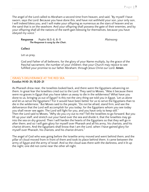The angel of the Lord called to Abraham a second time from heaven, and said, "By myself I have sworn, says the Lord: Because you have done this, and have not withheld your son, your only son, I will indeed bless you, and I will make your offspring as numerous as the stars of heaven and as the sand that is on the seashore. And your offspring shall possess the gate of their enemies, and by your offspring shall all the nations of the earth gain blessing for themselves, because you have obeyed my voice."

**Response** Psalm 16:5-6, 8-11 *Plainsong The Response is sung by the Choir.*

#### **Collect**

Let us pray.

God and Father of all believers, for the glory of your Name multiply, by the grace of the Paschal sacrament, the number of your children; that your Church may rejoice to see fulfilled your promise to our father Abraham; through Jesus Christ our Lord. **Amen**.

#### **ISRAEL'S DELIVERANCE AT THE RED SEA Exodus 14:10-31; 15:20-21**

As Pharaoh drew near, the Israelites looked back, and there were the Egyptians advancing on them. In great fear the Israelites cried out to the Lord. They said to Moses, "Was it because there were no graves in Egypt that you have taken us away to die in the wilderness? What have you done to us, bringing us out of Egypt? Is this not the very thing we told you in Egypt, 'Let us alone and let us serve the Egyptians'? For it would have been better for us to serve the Egyptians than to die in the wilderness." But Moses said to the people, "Do not be afraid, stand firm, and see the deliverance that the Lord will accomplish for you today; for the Egyptians whom you see today you shall never see again. The Lord will fight for you, and you have only to keep still." Then the Lord said to Moses, "Why do you cry out to me? Tell the Israelites to go forward. But you lift up your staff, and stretch out your hand over the sea and divide it, that the Israelites may go into the sea on dry ground. Then I will harden the hearts of the Egyptians so that they will go in after them; and so I will gain glory for myself over Pharaoh and all his army, his chariots, and his chariot drivers. And the Egyptians shall know that I am the Lord, when I have gained glory for myself over Pharaoh, his chariots, and his chariot drivers."

The angel of God who was going before the Israelite army moved and went behind them; and the pillar of cloud moved from in front of them and took its place behind them. It came between the army of Egypt and the army of Israel. And so the cloud was there with the darkness, and it lit up the night; one did not come near the other all night.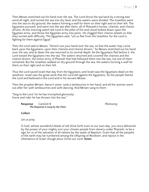Then Moses stretched out his hand over the sea. The Lord drove the sea back by a strong east wind all night, and turned the sea into dry land; and the waters were divided. The Israelites went into the sea on dry ground, the waters forming a wall for them on their right and on their left. The Egyptians pursued, and went into the sea after them, all of Pharaoh's horses, chariots, and chariot drivers. At the morning watch the Lord in the pillar of fire and cloud looked down upon the Egyptian army, and threw the Egyptian army into panic. He clogged their chariot wheels so that they turned with difficulty. The Egyptians said, "Let us flee from the Israelites, for the Lord is fighting for them against Egypt."

Then the Lord said to Moses, "Stretch out your hand over the sea, so that the water may come back upon the Egyptians, upon their chariots and chariot drivers." So Moses stretched out his hand over the sea, and at dawn the sea returned to its normal depth. As the Egyptians fled before it, the Lord tossed the Egyptians into the sea. The waters returned and covered the chariots and the chariot drivers, the entire army of Pharaoh that had followed them into the sea; not one of them remained. But the Israelites walked on dry ground through the sea, the waters forming a wall for them on their right and on their left.

Thus the Lord saved Israel that day from the Egyptians; and Israel saw the Egyptians dead on the seashore. Israel saw the great work that the Lord did against the Egyptians. So the people feared the Lord and believed in the Lord and in his servant Moses.

Then the prophet Miriam, Aaron's sister, took a tambourine in her hand; and all the women went out after her with tambourines and with dancing. And Miriam sang to them:

"Sing to the Lord, for he has triumphed gloriously; horse and rider he has thrown into the sea."

> **Response** Canticle 8 *Plainsong The Response is sung by the Choir.*

#### **Collect**

Let us pray.

O God, whose wonderful deeds of old shine forth even to our own day, you once delivered by the power of your mighty arm your chosen people from slavery under Pharaoh, to be a sign for us of the salvation of all nations by the water of Baptism: Grant that all the peoples of the earth may be numbered among the offspring of Abraham, and rejoice in the inheritance of Israel; though Jesus Christ our Lord. **Amen**.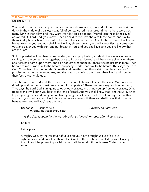#### **THE VALLEY OF DRY BONES**

#### **Ezekiel 37:1-14**

The hand of the Lord came upon me, and he brought me out by the spirit of the Lord and set me down in the middle of a valley; it was full of bones. He led me all around them; there were very many lying in the valley, and they were very dry. He said to me, "Mortal, can these bones live?" I answered, "O Lord God, you know." Then he said to me, "Prophesy to these bones, and say to them: O dry bones, hear the word of the Lord. Thus says the Lord God to these bones: I will cause breath to enter you, and you shall live. I will lay sinews on you, and will cause flesh to come upon you, and cover you with skin, and put breath in you, and you shall live; and you shall know that I am the Lord."

So I prophesied as I had been commanded; and as I prophesied, suddenly there was a noise, a rattling, and the bones came together, bone to its bone. I looked, and there were sinews on them, and flesh had come upon them, and skin had covered them; but there was no breath in them. Then he said to me, "Prophesy to the breath, prophesy, mortal, and say to the breath: Thus says the Lord God: Come from the four winds, O breath, and breathe upon these slain, that they may live." I prophesied as he commanded me, and the breath came into them, and they lived, and stood on their feet, a vast multitude.

Then he said to me, "Mortal, these bones are the whole house of Israel. They say, 'Our bones are dried up, and our hope is lost; we are cut off completely.' Therefore prophesy, and say to them, Thus says the Lord God: I am going to open your graves, and bring you up from your graves, O my people; and I will bring you back to the land of Israel. And you shall know that I am the Lord, when I open your graves, and bring you up from your graves, O my people. I will put my spirit within you, and you shall live, and I will place you on your own soil; then you shall know that I, the Lord, have spoken and will act," says the Lord.

**Response** Sicut cervus *Giovanni da Palestrina The Response is sung by the Choir.*

 *As the deer longeth for the waterbrooks, so longeth my soul after Thee, O God.*

#### **Collect**

Let us pray.

Almighty God, by the Passover of your Son you have brought us out of sin into righteousness and out of death into life; Grant to those who are sealed by your Holy Spirit the will and the power to proclaim you to all the world; through Jesus Christ our Lord. **Amen**.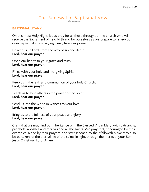### The Renewal of Baptismal Vows

*Please stand*

#### **BAPTISMAL LITANY**

On this most Holy Night, let us pray for all those throughout the church who will receive the Sacrament of new birth and for ourselves as we prepare to renew our own Baptismal vows, saying, **Lord, hear our prayer.**

Deliver us, O Lord, from the way of sin and death. **Lord, hear our prayer.**

Open our hearts to your grace and truth. **Lord, hear our prayer.**

Fill us with your holy and life-giving Spirit. **Lord, hear our prayer.**

Keep us in the faith and communion of your holy Church. **Lord, hear our prayer.**

Teach us to love others in the power of the Spirit. **Lord, hear our prayer.**

Send us into the world in witness to your love. **Lord, hear our prayer.**

Bring us to the fullness of your peace and glory. **Lord, hear our prayer.**

Grant that we may find our inheritance with the Blessed Virgin Mary, with patriarchs, prophets, apostles and martyrs and all the saints. We pray that, encouraged by their examples, aided by their prayers, and strengthened by their fellowship, we may also be partakers of the eternal life of the saints in light, through the merits of your Son Jesus Christ our Lord. **Amen**.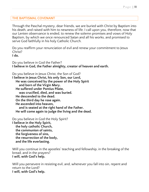#### **THE BAPTISMAL COVENANT**

Through the Paschal mystery, dear friends, we are buried with Christ by Baptism into his death, and raised with him to newness of life. I call upon you, therefore, now that our Lenten observance is ended, to renew the solemn promises and vows of Holy Baptism, by which we once renounced Satan and all his works, and promised to serve God faithfully in his holy Catholic Church.

Do you reaffirm your renunciation of evil and renew your commitment to Jesus Christ?

**I do.**

Do you believe in God the Father? **I believe in God, the Father almighty, creator of heaven and earth.**

Do you believe in Jesus Christ, the Son of God? **I believe in Jesus Christ, his only Son, our Lord, He was conceived by the power of the Holy Spirit and born of the Virgin Mary. He suffered under Pontius Pilate, was crucified, died, and was buried. He descended to the dead. On the third day he rose again. He ascended into heaven, and is seated at the right hand of the Father. He will come again to judge the living and the dead.**

Do you believe in God the Holy Spirit?

**I believe in the Holy Spirit, the holy catholic Church, the communion of saints, the forgiveness of sins, the resurrection of the body, and the life everlasting.**

Will you continue in the apostles' teaching and fellowship, in the breaking of the bread, and in the prayers? **I will, with God's help.**

Will you persevere in resisting evil, and, whenever you fall into sin, repent and return to the Lord? **I will, with God's help.**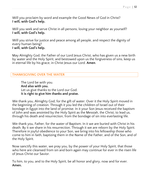Will you proclaim by word and example the Good News of God in Christ? **I will, with God's help.**

Will you seek and serve Christ in all persons, loving your neighbor as yourself? **I will, with God's help.**

Will you strive for justice and peace among all people, and respect the dignity of every human being? **I will, with God's help.**

May Almighty God, the Father of our Lord Jesus Christ, who has given us a new birth by water and the Holy Spirit, and bestowed upon us the forgiveness of sins, keep us in eternal life by his grace, in Christ Jesus our Lord. **Amen**.

### **THANKSGIVING OVER THE WATER**

The Lord be with you. **And also with you.** Let us give thanks to the Lord our God. **It is right to give him thanks and praise.**

We thank you, Almighty God, for the gift of water. Over it the Holy Spirit moved in the beginning of creation. Through it you led the children of Israel out of their bondage in Egypt into the land of promise. In it your Son Jesus received the baptism of John and was anointed by the Holy Spirit as the Messiah, the Christ, to lead us, through his death and resurrection, from the bondage of sin into everlasting life.

We thank you, Father, for the water of Baptism. In it we are buried with Christ in his death. By it we share in his resurrection. Through it we are reborn by the Holy Spirit. Therefore in joyful obedience to your Son, we bring into his fellowship those who come to him in faith, baptizing them in the Name of the Father, and of the Son, and of the Holy Spirit.

Now sanctify this water, we pray you, by the power of your Holy Spirit, that those who here are cleansed from sin and born again may continue for ever in the risen life of Jesus Christ our Savior.

To him, to you, and to the Holy Spirit, be all honor and glory, now and for ever. **Amen.**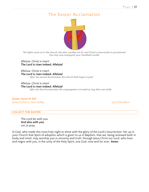### The Easter Acclamation



*The lights come on in the church, the altar candles are lit, and Christ's resurrection is proclaimed. You may now extinguish your handheld candle.*

Alleluia. Christ is risen! **The Lord is risen indeed. Alleluia!**

Alleluia. Christ is risen! **The Lord is risen indeed. Alleluia!** *After the second Acclamation the church bells begin to peal*

Alleluia. Christ is risen! **The Lord is risen indeed. Alleluia!** *After the third Acclamation the congregation is invited to ring their own bells.*

**Easter Hymn # 207** Jesus Christ is risen today *Lyra Davidica*

#### **COLLECT FOR EASTER**

The Lord be with you. **And also with you.** Let us pray.

O God, who made this most holy night to shine with the glory of the Lord's resurrection: Stir up in your Church that Spirit of adoption which is given to us in Baptism, that we, being renewed both in body and mind, may worship you in sincerity and truth; through Jesus Christ our Lord, who lives and reigns with you, in the unity of the Holy Spirit, one God, now and for ever. **Amen**.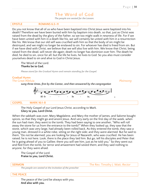### The Word of God

*The people are seated for the Lesson.*

#### **EPISTLE ROMANS 6:3–11**

Do you not know that all of us who have been baptized into Christ Jesus were baptized into his death? Therefore we have been buried with him by baptism into death, so that, just as Christ was raised from the dead by the glory of the Father, so we too might walk in newness of life. For if we have been united with him in a death like his, we will certainly be united with him in a resurrection like his. We know that our old self was crucified with him so that the body of sin might be destroyed, and we might no longer be enslaved to sin. For whoever has died is freed from sin. But if we have died with Christ, we believe that we will also live with him. We know that Christ, being raised from the dead, will never die again; death no longer has dominion over him. The death he died, he died to sin, once for all; but the life he lives, he lives to God. So you also must consider yourselves dead to sin and alive to God in Christ Jesus.

The Word of the Lord. **Thanks be to God.**

*Please stand for the Gradual Hymn and remain standing for the Gospel.*

### **Gradual Hymn**

*sung three times, first by the Cantor, and then answered by the congregation*

The Great Alleluia *Plainsong*



#### **GOSPEL MARK 16:1-8**

The Holy Gospel of our Lord Jesus Christ, according to Mark. **Glory to you, Lord Christ.**

When the sabbath was over, Mary Magdalene, and Mary the mother of James, and Salome bought spices, so that they might go and anoint Jesus. And very early on the first day of the week, when the sun had risen, they went to the tomb. They had been saying to one another, "Who will roll away the stone for us from the entrance to the tomb?" When they looked up, they saw that the stone, which was very large, had already been rolled back. As they entered the tomb, they saw a young man, dressed in a white robe, sitting on the right side; and they were alarmed. But he said to them, "Do not be alarmed; you are looking for Jesus of Nazareth, who was crucified. He has been raised; he is not here. Look, there is the place they laid him. But go, tell his disciples and Peter that he is going ahead of you to Galilee; there you will see him, just as he told you." So they went out and fled from the tomb, for terror and amazement had seized them; and they said nothing to anyone, for they were afraid.

The Gospel of the Lord. **Praise to you, Lord Christ.**

**SERMON** The Rev. Timothy J. Watt, *Rector*

*The people are seated at the invitation of the preacher*

#### **THE PEACE**

The peace of the Lord be always with you. **And also with you.**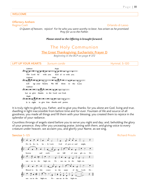#### **WELCOME**

### **Offertory Anthem**

Regina Coeli **Negionali Coeli Accessitati di Lasso** di Lasso di Lasso di Lasso di Lasso di Lasso di Lasso di Lasso

*O Queen of heaven, rejoice! For he who you were worthy to bear, has arisen as he promised. Pray for us to the Father.*

#### *Please stand as the Offering is brought forward.*

### The Holy Communion

#### **The Great Thanksgiving: Eucharistic Prayer D**

*Beginning in the BCP on page # 372*



It is truly right to glorify you, Father, and to give you thanks; for you alone are God, living and true, dwelling in light inaccessible from before time and for ever. Fountain of life and source of all goodness, you made all things and fill them with your blessing; you created them to rejoice in the splendor of your radiance.

Countless throngs of angels stand before you to serve you night and day; and, beholding the glory of your presence, they offer you unceasing praise. Joining with them, and giving voice to every creature under heaven, we acclaim you, and glorify your Name, as we sing,

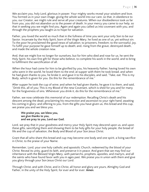We acclaim you, holy Lord, glorious in power. Your mighty works reveal your wisdom and love. You formed us in your own image, giving the whole world into our care, so that, in obedience to you, our Creator, we might rule and serve all your creatures. When our disobedience took us far from you, you did not abandon us to the power of death. In your mercy you came to our help, so that in seeking you we might find you. Again and again you called us into covenant with you, and through the prophets you taught us to hope for salvation.

Father, you loved the world so much that in the fullness of time you sent your only Son to be our Savior. Incarnate by the Holy Spirit, born of the Virgin Mary, he lived as one of us, yet without sin. To the poor he proclaimed the good news of salvation; to prisoners, freedom; to the sorrowful, joy. To fulfill your purpose he gave himself up to death; and, rising from the grave, destroyed death, and made the whole creation new.

And, that we might live no longer for ourselves, but for him who died and rose for us, he sent the Holy Spirit, his own first gift for those who believe, to complete his work in the world, and to bring to fulfillment the sanctification of all.

When the hour had come for him to be glorified by you, his heavenly Father, having loved his own who were in the world, he loved them to the end; at supper with them he took bread, and when he had given thanks to you, he broke it, and gave it to his disciples, and said, "Take, eat: This is my Body, which is given for you. Do this for the remembrance of me."

After supper he took the cup of wine; and when he had given thanks, he gave it to them, and said, "Drink this, all of you: This is my Blood of the new Covenant, which is shed for you and for many for the forgiveness of sins. Whenever you drink it, do this for the remembrance of me."

Father, we now celebrate this memorial of our redemption. Recalling Christ's death and his descent among the dead, proclaiming his resurrection and ascension to your right hand, awaiting his coming in glory; and offering to you, from the gifts you have given us, this bread and this cup, we praise you and we bless you.

**We praise you, we bless you, we give thanks to you, and we pray to you, Lord our God.**

Lord, we pray that in your goodness and mercy your Holy Spirit may descend upon us, and upon these gifts, sanctifying them and showing them to be holy gifts for your holy people, the bread of life and the cup of salvation, the Body and Blood of your Son Jesus Christ.

Grant that all who share this bread and cup may become one body and one spirit, a living sacrifice in Christ, to the praise of your Name.

Remember, Lord, your one holy catholic and apostolic Church, redeemed by the blood of your Christ. Reveal its unity, guard its faith, and preserve it in peace. And grant that we may find our inheritance with the Blessed Virgin Mary, with patriarchs, prophets, apostles, and martyrs, and all the saints who have found favor with you in ages past. We praise you in union with them and give you glory through your Son Jesus Christ our Lord.

Through Christ, and with Christ, and in Christ, all honor and glory are yours, Almighty God and Father, in the unity of the Holy Spirit, for ever and for ever. **Amen***.*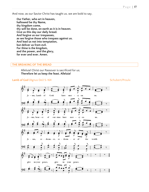And now, as our Savior Christ has taught us, we are bold to say,

**Our Father, who art in heaven, hallowed be thy Name, thy kingdom come, thy will be done, on earth as it is in heaven. Give us this day our daily bread. And forgive us our trespasses, as we forgive those who trespass against us. And lead us not into temptation, but deliver us from evil. For thine is the kingdom, and the power, and the glory, for ever and ever. Amen.**

#### **THE BREAKING OF THE BREAD**

Alleluia! Christ our Passover is sacrificed for us; **Therefore let us keep the feast. Alleluia!**

#### **Lamb of God** (Agnus Dei) S-164 Schubert/Proulx

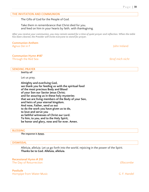#### **THE INVITATION AND COMMUNION**

The Gifts of God for the People of God.

Take them in remembrance that Christ died for you, and feed on him in your hearts by faith, with thanksgiving.

*After you receive your communion, you may remain seated for a time of quiet prayer and reflection. When the table has been cleared, the Presider will invite everyone to stand for prayer.*

#### **Communion Anthem** Agnus Dei in F John Ireland

#### **Communion Hymn #187** Through the Red Sea *Straf mich nicht*

#### **SENDING PRAYER**

*Said by all*

Let us pray.

**Almighty and everliving God, we thank you for feeding us with the spiritual food of the most precious Body and Blood of your Son our Savior Jesus Christ; and for assuring us in these holy mysteries that we are living members of the Body of your Son, and heirs of your eternal kingdom. And now, Father, send us out to do the work you have given us to do, to love and serve you as faithful witnesses of Christ our Lord. To him, to you, and to the Holy Spirit, be honor and glory, now and for ever. Amen.**

#### **BLESSING**

*The response is* **Amen***.*

#### **DISMISSAL**

Alleluia, alleluia. Let us go forth into the world, rejoicing in the power of the Spirit. **Thanks be to God. Alleluia, alleluia.**

**Recessional Hymn # 210** The Day of Resurrection *Ellacombe*

**Postlude** Hornpipe from Water Music G. F. Handel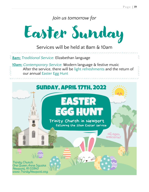*Join us tomorrow for*

# Easter Sunday Services will be held at 8am & 10am **8am:** *Traditional Service:* Elizabethan language **10am:** *Contemporary Service:* Modern language & festive music After the service, there will be light refreshments and the return of our annual Easter Egg Hunt**SUNDAY, APRIL 17TH, 2022** STER EGG HUNT Trinity Church in Newport following the 10am Easter service all ages welcame! Trinity Church One Queen Anne Square Newport, RI 02840 www.TrinityNewport.org